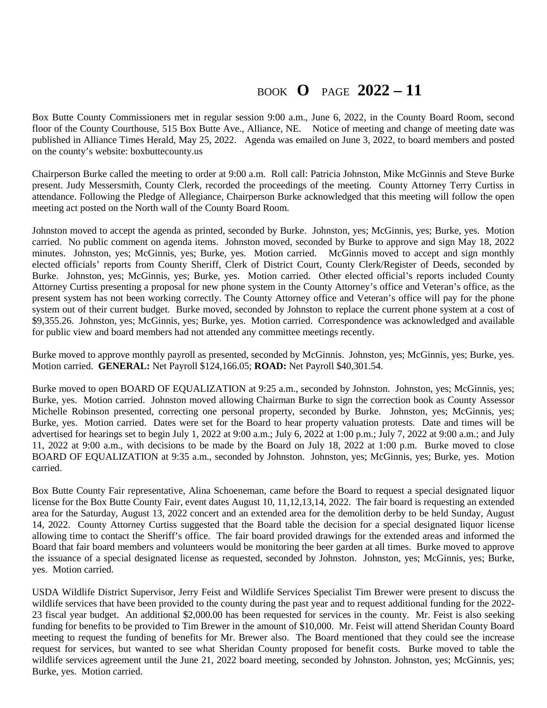## BOOK **O** PAGE **2022 – 11**

Box Butte County Commissioners met in regular session 9:00 a.m., June 6, 2022, in the County Board Room, second floor of the County Courthouse, 515 Box Butte Ave., Alliance, NE. Notice of meeting and change of meeting date was published in Alliance Times Herald, May 25, 2022. Agenda was emailed on June 3, 2022, to board members and posted on the county's website: boxbuttecounty.us

Chairperson Burke called the meeting to order at 9:00 a.m. Roll call: Patricia Johnston, Mike McGinnis and Steve Burke present. Judy Messersmith, County Clerk, recorded the proceedings of the meeting. County Attorney Terry Curtiss in attendance. Following the Pledge of Allegiance, Chairperson Burke acknowledged that this meeting will follow the open meeting act posted on the North wall of the County Board Room.

Johnston moved to accept the agenda as printed, seconded by Burke. Johnston, yes; McGinnis, yes; Burke, yes. Motion carried. No public comment on agenda items. Johnston moved, seconded by Burke to approve and sign May 18, 2022 minutes. Johnston, yes; McGinnis, yes; Burke, yes. Motion carried. McGinnis moved to accept and sign monthly elected officials' reports from County Sheriff, Clerk of District Court, County Clerk/Register of Deeds, seconded by Burke. Johnston, yes; McGinnis, yes; Burke, yes. Motion carried. Other elected official's reports included County Attorney Curtiss presenting a proposal for new phone system in the County Attorney's office and Veteran's office, as the present system has not been working correctly. The County Attorney office and Veteran's office will pay for the phone system out of their current budget. Burke moved, seconded by Johnston to replace the current phone system at a cost of \$9,355.26. Johnston, yes; McGinnis, yes; Burke, yes. Motion carried. Correspondence was acknowledged and available for public view and board members had not attended any committee meetings recently.

Burke moved to approve monthly payroll as presented, seconded by McGinnis. Johnston, yes; McGinnis, yes; Burke, yes. Motion carried. **GENERAL:** Net Payroll \$124,166.05; **ROAD:** Net Payroll \$40,301.54.

Burke moved to open BOARD OF EQUALIZATION at 9:25 a.m., seconded by Johnston. Johnston, yes; McGinnis, yes; Burke, yes. Motion carried. Johnston moved allowing Chairman Burke to sign the correction book as County Assessor Michelle Robinson presented, correcting one personal property, seconded by Burke. Johnston, yes; McGinnis, yes; Burke, yes. Motion carried. Dates were set for the Board to hear property valuation protests. Date and times will be advertised for hearings set to begin July 1, 2022 at 9:00 a.m.; July 6, 2022 at 1:00 p.m.; July 7, 2022 at 9:00 a.m.; and July 11, 2022 at 9:00 a.m., with decisions to be made by the Board on July 18, 2022 at 1:00 p.m. Burke moved to close BOARD OF EQUALIZATION at 9:35 a.m., seconded by Johnston. Johnston, yes; McGinnis, yes; Burke, yes. Motion carried.

Box Butte County Fair representative, Alina Schoeneman, came before the Board to request a special designated liquor license for the Box Butte County Fair, event dates August 10, 11,12,13,14, 2022. The fair board is requesting an extended area for the Saturday, August 13, 2022 concert and an extended area for the demolition derby to be held Sunday, August 14, 2022. County Attorney Curtiss suggested that the Board table the decision for a special designated liquor license allowing time to contact the Sheriff's office. The fair board provided drawings for the extended areas and informed the Board that fair board members and volunteers would be monitoring the beer garden at all times. Burke moved to approve the issuance of a special designated license as requested, seconded by Johnston. Johnston, yes; McGinnis, yes; Burke, yes. Motion carried.

USDA Wildlife District Supervisor, Jerry Feist and Wildlife Services Specialist Tim Brewer were present to discuss the wildlife services that have been provided to the county during the past year and to request additional funding for the 2022- 23 fiscal year budget. An additional \$2,000.00 has been requested for services in the county. Mr. Feist is also seeking funding for benefits to be provided to Tim Brewer in the amount of \$10,000. Mr. Feist will attend Sheridan County Board meeting to request the funding of benefits for Mr. Brewer also. The Board mentioned that they could see the increase request for services, but wanted to see what Sheridan County proposed for benefit costs. Burke moved to table the wildlife services agreement until the June 21, 2022 board meeting, seconded by Johnston. Johnston, yes; McGinnis, yes; Burke, yes. Motion carried.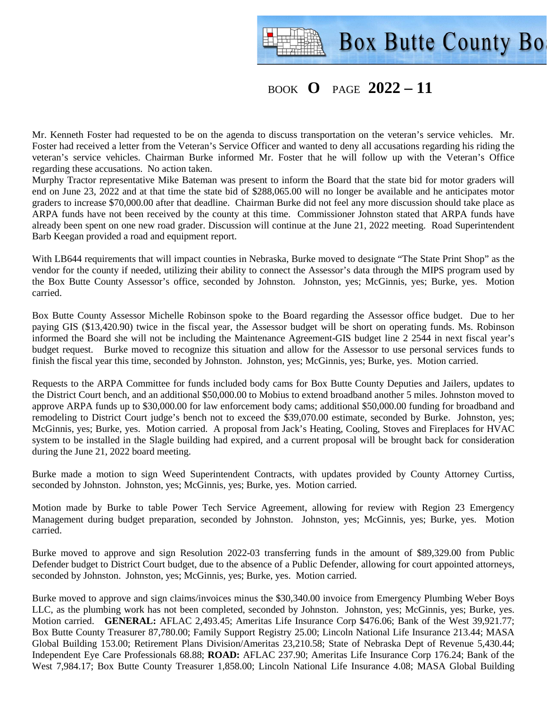**Box Butte County Bo** 

## BOOK **O** PAGE **2022 – 11**

Mr. Kenneth Foster had requested to be on the agenda to discuss transportation on the veteran's service vehicles. Mr. Foster had received a letter from the Veteran's Service Officer and wanted to deny all accusations regarding his riding the veteran's service vehicles. Chairman Burke informed Mr. Foster that he will follow up with the Veteran's Office regarding these accusations. No action taken.

Murphy Tractor representative Mike Bateman was present to inform the Board that the state bid for motor graders will end on June 23, 2022 and at that time the state bid of \$288,065.00 will no longer be available and he anticipates motor graders to increase \$70,000.00 after that deadline. Chairman Burke did not feel any more discussion should take place as ARPA funds have not been received by the county at this time. Commissioner Johnston stated that ARPA funds have already been spent on one new road grader. Discussion will continue at the June 21, 2022 meeting. Road Superintendent Barb Keegan provided a road and equipment report.

With LB644 requirements that will impact counties in Nebraska, Burke moved to designate "The State Print Shop" as the vendor for the county if needed, utilizing their ability to connect the Assessor's data through the MIPS program used by the Box Butte County Assessor's office, seconded by Johnston. Johnston, yes; McGinnis, yes; Burke, yes. Motion carried.

Box Butte County Assessor Michelle Robinson spoke to the Board regarding the Assessor office budget. Due to her paying GIS (\$13,420.90) twice in the fiscal year, the Assessor budget will be short on operating funds. Ms. Robinson informed the Board she will not be including the Maintenance Agreement-GIS budget line 2 2544 in next fiscal year's budget request. Burke moved to recognize this situation and allow for the Assessor to use personal services funds to finish the fiscal year this time, seconded by Johnston. Johnston, yes; McGinnis, yes; Burke, yes. Motion carried.

Requests to the ARPA Committee for funds included body cams for Box Butte County Deputies and Jailers, updates to the District Court bench, and an additional \$50,000.00 to Mobius to extend broadband another 5 miles. Johnston moved to approve ARPA funds up to \$30,000.00 for law enforcement body cams; additional \$50,000.00 funding for broadband and remodeling to District Court judge's bench not to exceed the \$39,070.00 estimate, seconded by Burke. Johnston, yes; McGinnis, yes; Burke, yes. Motion carried. A proposal from Jack's Heating, Cooling, Stoves and Fireplaces for HVAC system to be installed in the Slagle building had expired, and a current proposal will be brought back for consideration during the June 21, 2022 board meeting.

Burke made a motion to sign Weed Superintendent Contracts, with updates provided by County Attorney Curtiss, seconded by Johnston. Johnston, yes; McGinnis, yes; Burke, yes. Motion carried.

Motion made by Burke to table Power Tech Service Agreement, allowing for review with Region 23 Emergency Management during budget preparation, seconded by Johnston. Johnston, yes; McGinnis, yes; Burke, yes. Motion carried.

Burke moved to approve and sign Resolution 2022-03 transferring funds in the amount of \$89,329.00 from Public Defender budget to District Court budget, due to the absence of a Public Defender, allowing for court appointed attorneys, seconded by Johnston. Johnston, yes; McGinnis, yes; Burke, yes. Motion carried.

Burke moved to approve and sign claims/invoices minus the \$30,340.00 invoice from Emergency Plumbing Weber Boys LLC, as the plumbing work has not been completed, seconded by Johnston. Johnston, yes; McGinnis, yes; Burke, yes. Motion carried. **GENERAL:** AFLAC 2,493.45; Ameritas Life Insurance Corp \$476.06; Bank of the West 39,921.77; Box Butte County Treasurer 87,780.00; Family Support Registry 25.00; Lincoln National Life Insurance 213.44; MASA Global Building 153.00; Retirement Plans Division/Ameritas 23,210.58; State of Nebraska Dept of Revenue 5,430.44; Independent Eye Care Professionals 68.88; **ROAD:** AFLAC 237.90; Ameritas Life Insurance Corp 176.24; Bank of the West 7,984.17; Box Butte County Treasurer 1,858.00; Lincoln National Life Insurance 4.08; MASA Global Building